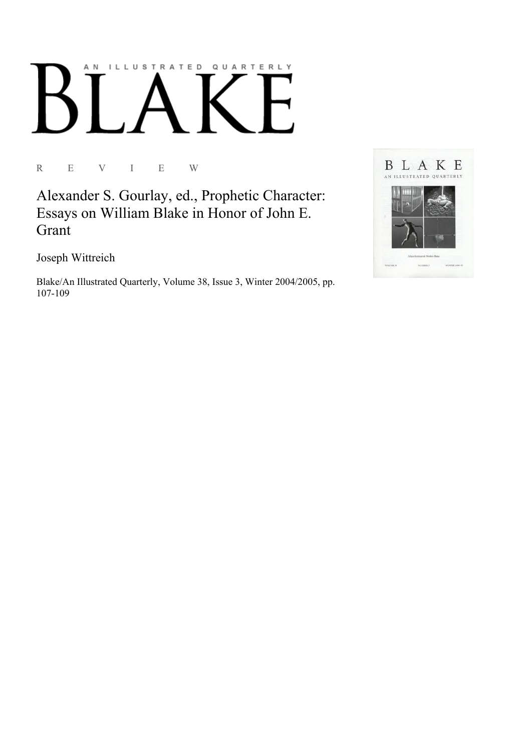## AN ILLUSTRATED QUARTERLY

R E V I E W

Alexander S. Gourlay, ed., Prophetic Character: Essays on William Blake in Honor of John E. Grant

Joseph Wittreich

Blake/An Illustrated Quarterly, Volume 38, Issue 3, Winter 2004/2005, pp. 107-109

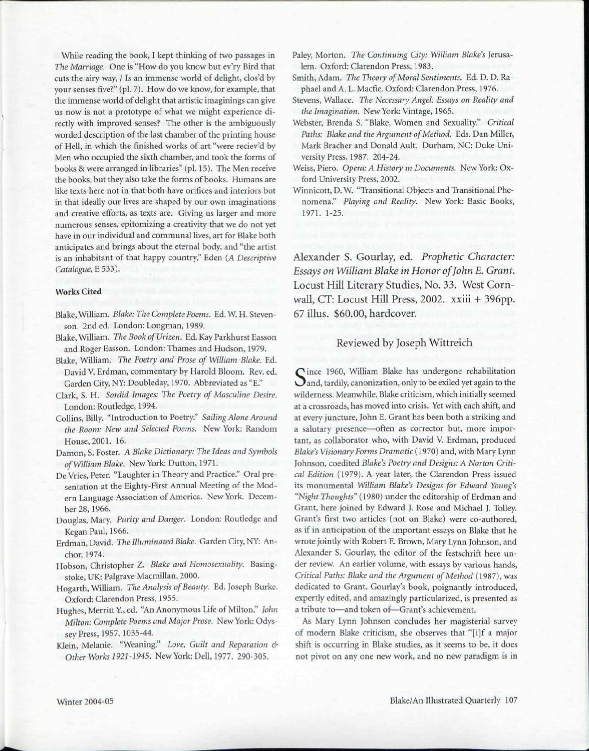While reading the book, I kept thinking of two passages in *The Marriage.* One is "How do you know but ev'ry Bird that cuts the airy way, / Is an immense world of delight, clos'd by your senses five?" (pi. 7). How do we know, for example, that the immense world of delight that artistic imaginings can give us now is not a prototype of what we might experience directly with improved senses? The other is the ambiguously worded description of the last chamber of the printing house of Hell, in which the finished works of art "were reciev'd by Men who occupied the sixth chamber, and took the forms of books & were arranged in libraries" (pi. 15). The Men receive the books, but they also take the forms of books. Humans are like texts here not in that both have orifices and interiors but in that ideally our lives are shaped by our own imaginations and creative efforts, as texts are. Giving us larger and more numerous senses, epitomizing a creativity that we do not yet have in our individual and communal lives, art for Blake both anticipates and brings about the eternal body, and "the artist is an inhabitant of that happy country," Eden *(A Descriptive Catalogue,* E 533).

## Works Cited

- Blake, William. *Blake: The Complete Poems.* Ed. W. H. Stevenson. 2nded. London: Longman, 1989.
- Blake, William. The Book of Urizen. Ed. Kay Parkhurst Easson and Roger Easson. London: Thames and Hudson, 1979.
- Blake, William. *The Poetry and Prose of William Blake.* Ed. David V. Erdman, commentary by Harold Bloom. Rev. ed. Garden City, NY: Doubleday, 1970. Abbreviated as "E."
- Clark, S. H. *Sordid Images: The Poetry of Masculine Desire.*  London: Routledge, 1994.
- Collins, Billy. "Introduction to Poetry." *Sailing Alone Around the Room: New and Selected Poems.* New York: Random House, 2001. 16.
- Damon, S. Foster. A *Blake Dictionary: The Ideas and Symbols of William Blake.* New York: Dutton, 1971.
- De Vries, Peter. "Laughter in Theory and Practice." Oral presentation at the Eighty-First Annual Meeting of the Modern Language Association of America. New York. December 28, 1966.
- Douglas, Mary. *Purity and Danger.* London: Routledge and Kegan Paul, 1966.
- Erdman, David. *The Illuminated Blake.* Garden City, NY: Anchor, 1974.
- Hobson, Christopher Z. *Blake and Homosexuality.* Basingstoke, UK: Palgrave Macmillan, 2000.
- Hogarth, William. *The Analysis of Beauty.* Ed. Joseph Burke. Oxford: Clarendon Press, 1955.
- Hughes, Merritt Y, ed. "An Anonymous Life of Milton." *John Milton: Complete Poems and Major Prose.* New York: Odyssey Press, 1957.1035-44.
- Klein, Melanie. "Weaning." *Love, Guilt and Reparation & Other Works 1921-1945.* New York: Dell, 1977. 290-305.
- Paley, Morton. *The Continuing City: William Blake's* Jerusalem. Oxford: Clarendon Press, 1983.
- Smith, Adam. *The Theory of Moral Sentiments.* Ed. D. D. Raphael and A. L. Macfie. Oxford: Clarendon Press, 1976.
- Stevens, Wallace. *The Necessary Angel: Essays on Reality and the Imagination.* New York: Vintage, 1965.
- Webster, Brenda S. "Blake, Women and Sexuality." *Critical Paths: Blake and the Argument of Method.* Eds. Dan Miller, Mark Bracher and Donald Ault. Durham, NC: Duke University Press, 1987. 204-24.
- Weiss, Piero. *Opera: A History in Documents.* New York: Oxford University Press, 2002.
- Winnicott, D. W. "Transitional Objects and Transitional Phenomena." *Playing and Reality.* New York: Basic Books, 1971. 1-25.

Alexander S. Gourlay, ed. *Prophetic Character: Essays on William Blake in Honor of John E. Grant.*  Locust Hill Literary Studies, No. 33. West Cornwall, CT: Locust Hill Press, 2002. xxiii + 396pp. 67 illus. \$60.00, hardcover.

## Reviewed by Joseph Wittreich

Since 1960, William Blake has undergone rehabilitation<br>Sand, tardily, canonization, only to be exiled yet again to the Cince 1960, William Blake has undergone rehabilitation wilderness. Meanwhile, Blake criticism, which initially seemed at a crossroads, has moved into crisis. Yet with each shift, and at every juncture, John E. Grant has been both a striking and a salutary presence—often as corrector but, more important, as collaborator who, with David V. Erdman, produced *Blake's Visionary Forms Dramatic* (1970) and, with Mary Lynn Johnson, coedited *Blake's Poetry and Designs: A Norton Critical Edition* (1979). A year later, the Clarendon Press issued its monumental *William Blake's Designs for Edward Young's "Night Thoughts"* (1980) under the editorship of Erdman and Grant, here joined by Edward J. Rose and Michael J. Tolley. Grant's first two articles (not on Blake) were co-authored, as if in anticipation of the important essays on Blake that he wrote jointly with Robert E. Brown, Mary Lynn Johnson, and Alexander S. Gourlay, the editor of the festschrift here under review. An earlier volume, with essays by various hands, *Critical Paths: Blake and the Argument of Method* (1987), was dedicated to Grant. Gourlay's book, poignantly introduced, expertly edited, and amazingly particularized, is presented as a tribute to—and token of—Grant's achievement.

As Mary Lynn Johnson concludes her magisterial survey of modern Blake criticism, she observes that "[i]f a major shift is occurring in Blake studies, as it seems to be, it does not pivot on any one new work, and no new paradigm is in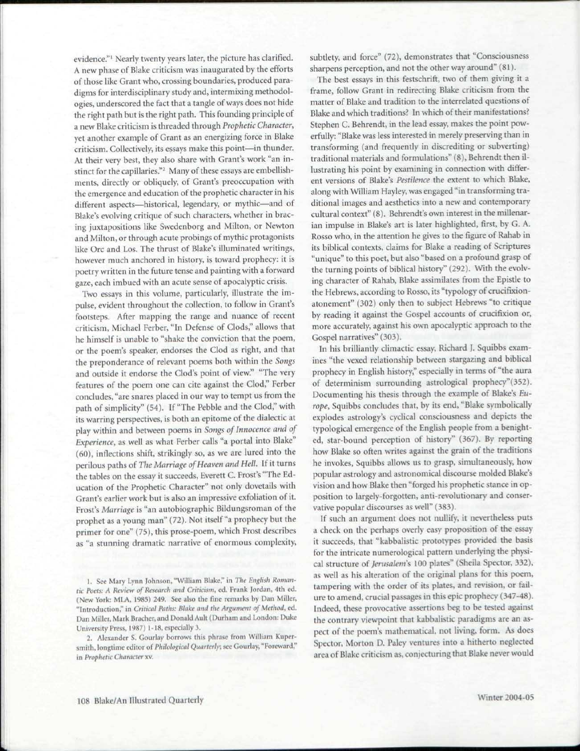evidence."<sup>1</sup> Nearly twenty years later, the picture has clarified. A new phase of Blake criticism was inaugurated by the efforts of those like Grant who, crossing boundaries, produced paradigms for interdisciplinary study and, intermixing methodologies, underscored the fact that a tangle of ways does not hide the right path but is the right path. This founding principle of a new Blake criticism is threaded through *Prophetic Character,*  yet another example of Grant as an energizing force in Blake criticism. Collectively, its essays make this point—in thunder. At their very best, they also share with Grant's work "an instinct for the capillaries."<sup>2</sup> Many of these essays are embellishments, directly or obliquely, of Grant's preoccupation with the emergence and education of the prophetic character in his different aspects—historical, legendary, or mythic—and of Blake's evolving critique of such characters, whether in bracing juxtapositions like Swedenborg and Milton, or Newton and Milton, or through acute probings of mythic protagonists like Ore and Los. The thrust of Blake's illuminated writings, however much anchored in history, is toward prophecy: it is poetry written in the future tense and painting with a forward gaze, each imbued with an acute sense of apocalyptic crisis.

Two essays in this volume, particularly, illustrate the impulse, evident throughout the collection, to follow in Grant's footsteps. After mapping the range and nuance of recent criticism, Michael Ferber, "In Defense of Clods," allows that he himself is unable to "shake the conviction that the poem, or the poem's speaker, endorses the Clod as right, and that the preponderance of relevant poems both within the *Songs*  and outside it endorse the Clod's point of view." "The very features of the poem one can cite against the Clod," Ferber concludes, "are snares placed in our way to tempt us from the path of simplicity" (54). If "The Pebble and the Clod," with its warring perspectives, is both an epitome of the dialectic at play within and between poems in *Songs of Innocence and of Experience,* as well as what Ferber calls "a portal into Blake" (60), inflections shift, strikingly so, as we are lured into the perilous paths of *The Marriage of Heaven and Hell.* If it turns the tables on the essay it succeeds, Everett C. Frost's "The Education of the Prophetic Character" not only dovetails with Grant's earlier work but is also an impressive exfoliation of it. Frost's *Marriage* is "an autobiographic Bildungsroman of the prophet as a young man" (72). Not itself "a prophecy but the primer for one" (75), this prose-poem, which Frost describes as "a stunning dramatic narrative of enormous complexity,

1. See Mary Lynn Johnson, "William Blake," in 77a- *English Roman*tic Poets: A Review of Research and Criticism, ed. Frank Jordan, 4th ed. (New York: MLA, 1985) 249. See also the fine remarks by Dan Miller, "Introduction," in *Critical Paths: Blake ami the Argument* <>/ *Method,* ed. Dan Miller, Mark Bracher, and Donald Ault (Durham and London: Duke University Press, 1987) 1-18, especially 3.

2. Alexander S. Gourlay borrows this phrase from William kupcr smith, longtime editor of *Philological Quarterly*; see Gourlay, "Foreward," in Prophetic Character xv.

subtlety, and force" (72), demonstrates that "Consciousness sharpens perception, and not the other way around" (81).

The best essays in this festschrift, two of them giving it a frame, follow Grant in redirecting Blake criticism from the matter of Blake and tradition to the interrelated questions of Blake and which traditions? In which of their manifestations? Stephen C. Behrendt, in the lead essay, makes the point powerfully: "Blake was less interested in merely preserving than in transforming (and frequently in discrediting or subverting) traditional materials and formulations" (8), Behrendt then illustrating his point by examining in connection with different versions of Blake's *Pestilence* the extent to which Blake, along with William Hayley, was engaged "in transforming traditional images and aesthetics into a new and contemporary cultural context" (8). Behrendt's own interest in the millenarian impulse in Blake's art is later highlighted, first, by G. A. Rosso who, in the attention he gives to the figure of Rahab in its biblical contexts, claims for Blake a reading of Scriptures "unique" to this poet, but also "based on a profound grasp of the turning points of biblical history" (292). With the evolving character of Rahab, Blake assimilates from the Epistle to the Hebrews, according to Rosso, its "typology of crucifixionatonement" (302) only then to subject Hebrews "to critique by reading it against the Gospel accounts of crucifixion or, more accurately, against his own apocalyptic approach to the Gospel narratives" (303).

In his brilliantly climactic essay, Richard J. Squibbs examines "the vexed relationship between stargazing and biblical prophecy in English history," especially in terms of "the aura of determinism surrounding astrological prophecy"(352). Documenting his thesis through the example of Blake's *Europe,* Squibbs concludes that, by its end, "Blake symbolically explodes astrology's cyclical consciousness and depicts the typological emergence of the English people from a benighted, star-bound perception of history" (367). By reporting how Blake so often writes against the grain of the traditions he invokes, Squibbs allows us to grasp, simultaneously, how popular astrology and astronomical discourse molded Blake's vision and how Blake then "forged his prophetic stance in opposition to largely-forgotten, anti-revolutionary and conservative popular discourses as well" (383).

If such an argument does not nullify, it nevertheless puts a check on the perhaps overly easy proposition of the essay it succeeds, that "kabbalistic prototypes provided the basis for the intricate numerological pattern underlying the physical structure of *Jerusalem's* 100 plates" (Sheila Spector, 332), as well as his alteration of the original plans for this poem, tampering with the order of its plates, and revision, or failure to amend, crucial passages in this epic prophecy (347-48). Indeed, these provocative assertions beg to be tested against the contrary viewpoint that kabbalistic paradigms are an aspect of the poem's mathematical, not living, form. As does Spector, Morton D. Paley ventures into a hitherto neglected area of Blake criticism as, conjecturing that Blake never would